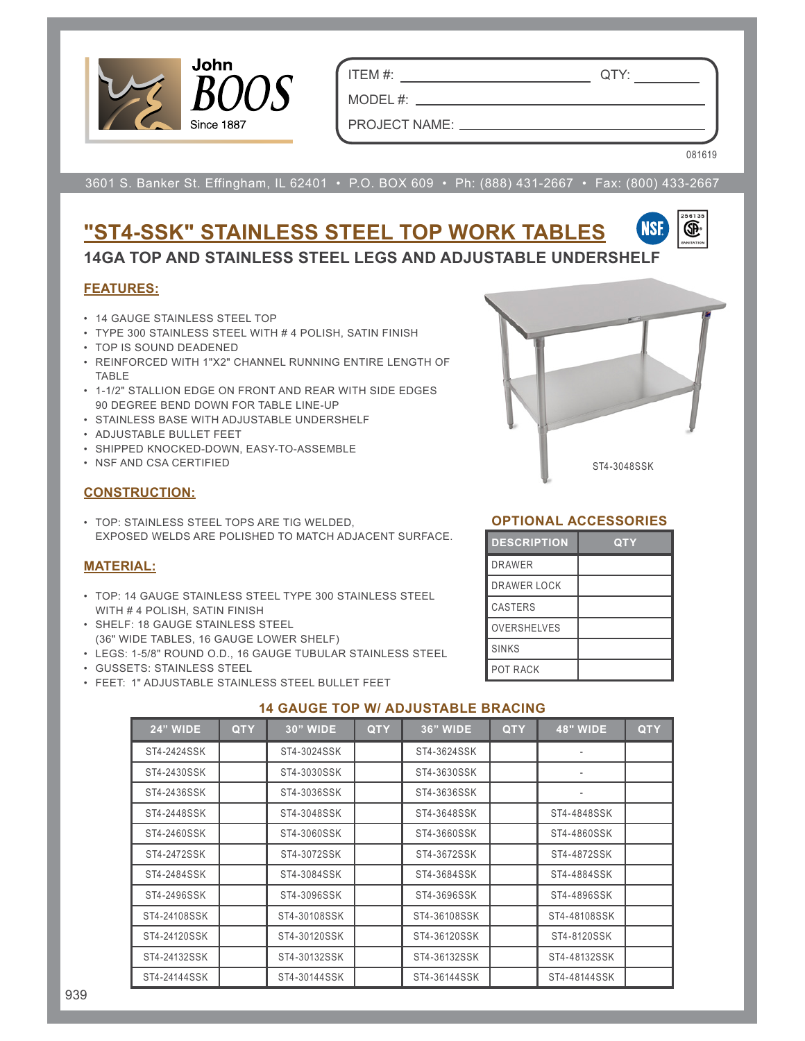

ITEM #: QTY:

PROJECT NAME:

MODEL #:

081619

3601 S. Banker St. Effingham, IL 62401 • P.O. BOX 609 • Ph: (888) 431-2667 • Fax: (800) 433-2667

# **"ST4-SSK" STAINLESS STEEL TOP WORK TABLES**



**14GA TOP AND STAINLESS STEEL LEGS AND ADJUSTABLE UNDERSHELF**

#### **FEATURES:**

- 14 GAUGE STAINLESS STEEL TOP
- TYPE 300 STAINLESS STEEL WITH # 4 POLISH, SATIN FINISH
- TOP IS SOUND DEADENED
- REINFORCED WITH 1"X2" CHANNEL RUNNING ENTIRE LENGTH OF TABLE
- 1-1/2" STALLION EDGE ON FRONT AND REAR WITH SIDE EDGES 90 DEGREE BEND DOWN FOR TABLE LINE-UP
- STAINLESS BASE WITH ADJUSTABLE UNDERSHELF
- ADJUSTABLE BULLET FEET
- SHIPPED KNOCKED-DOWN, EASY-TO-ASSEMBLE
- NSF AND CSA CERTIFIED

#### **CONSTRUCTION:**

• TOP: STAINLESS STEEL TOPS ARE TIG WELDED, EXPOSED WELDS ARE POLISHED TO MATCH ADJACENT SURFACE.

#### **MATERIAL:**

- TOP: 14 GAUGE STAINLESS STEEL TYPE 300 STAINLESS STEEL WITH # 4 POLISH, SATIN FINISH
- SHELF: 18 GAUGE STAINLESS STEEL (36" WIDE TABLES, 16 GAUGE LOWER SHELF)
- LEGS: 1-5/8" ROUND O.D., 16 GAUGE TUBULAR STAINLESS STEEL
- GUSSETS: STAINLESS STEEL
- FEET: 1" ADJUSTABLE STAINLESS STEEL BULLET FEET



#### **OPTIONAL ACCESSORIES**

| <b>DESCRIPTION</b> | QTY |
|--------------------|-----|
| <b>DRAWER</b>      |     |
| DRAWER LOCK        |     |
| <b>CASTERS</b>     |     |
| <b>OVERSHELVES</b> |     |
| <b>SINKS</b>       |     |
| <b>POT RACK</b>    |     |

| <b>24" WIDE</b> | <b>QTY</b> | <b>30" WIDE</b> | <b>QTY</b> | <b>36" WIDE</b> | <b>QTY</b> | <b>48" WIDE</b>          | <b>QTY</b> |
|-----------------|------------|-----------------|------------|-----------------|------------|--------------------------|------------|
| ST4-2424SSK     |            | ST4-3024SSK     |            | ST4-3624SSK     |            |                          |            |
| ST4-2430SSK     |            | ST4-3030SSK     |            | ST4-3630SSK     |            | $\overline{\phantom{a}}$ |            |
| ST4-2436SSK     |            | ST4-3036SSK     |            | ST4-3636SSK     |            |                          |            |
| ST4-2448SSK     |            | ST4-3048SSK     |            | ST4-3648SSK     |            | ST4-4848SSK              |            |
| ST4-2460SSK     |            | ST4-3060SSK     |            | ST4-3660SSK     |            | ST4-4860SSK              |            |
| ST4-2472SSK     |            | ST4-3072SSK     |            | ST4-3672SSK     |            | ST4-4872SSK              |            |
| ST4-2484SSK     |            | ST4-3084SSK     |            | ST4-3684SSK     |            | ST4-4884SSK              |            |
| ST4-2496SSK     |            | ST4-3096SSK     |            | ST4-3696SSK     |            | ST4-4896SSK              |            |
| ST4-24108SSK    |            | ST4-30108SSK    |            | ST4-36108SSK    |            | ST4-48108SSK             |            |
| ST4-24120SSK    |            | ST4-30120SSK    |            | ST4-36120SSK    |            | ST4-8120SSK              |            |
| ST4-24132SSK    |            | ST4-30132SSK    |            | ST4-36132SSK    |            | ST4-48132SSK             |            |
| ST4-24144SSK    |            | ST4-30144SSK    |            | ST4-36144SSK    |            | ST4-48144SSK             |            |

### **14 GAUGE TOP W/ ADJUSTABLE BRACING**